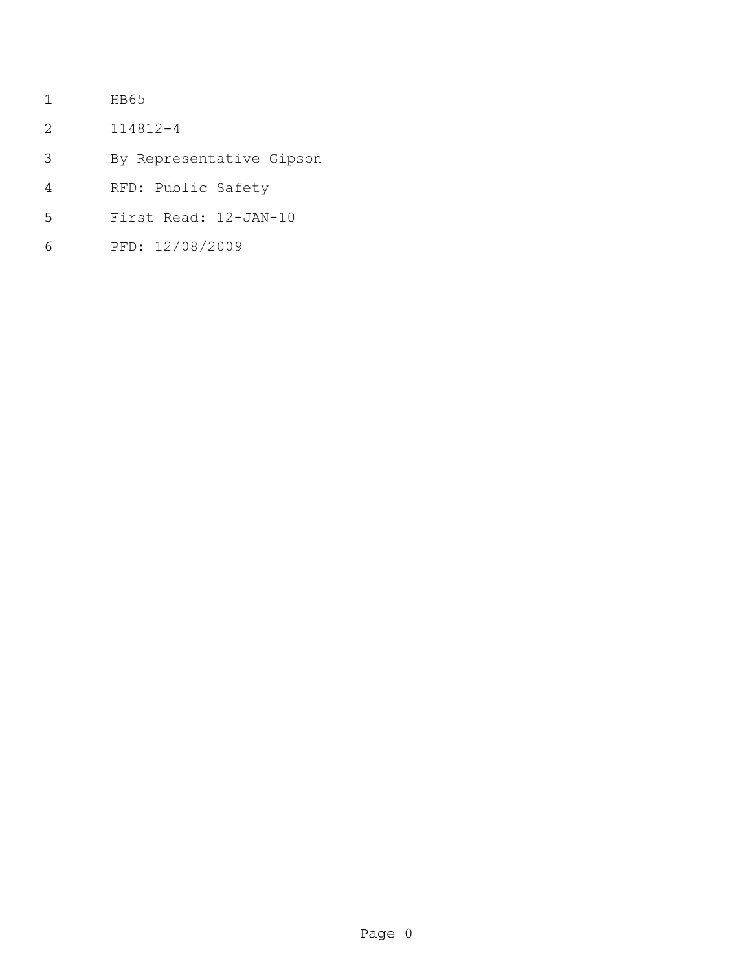- HB65
- 114812-4
- By Representative Gipson
- RFD: Public Safety
- First Read: 12-JAN-10
- PFD: 12/08/2009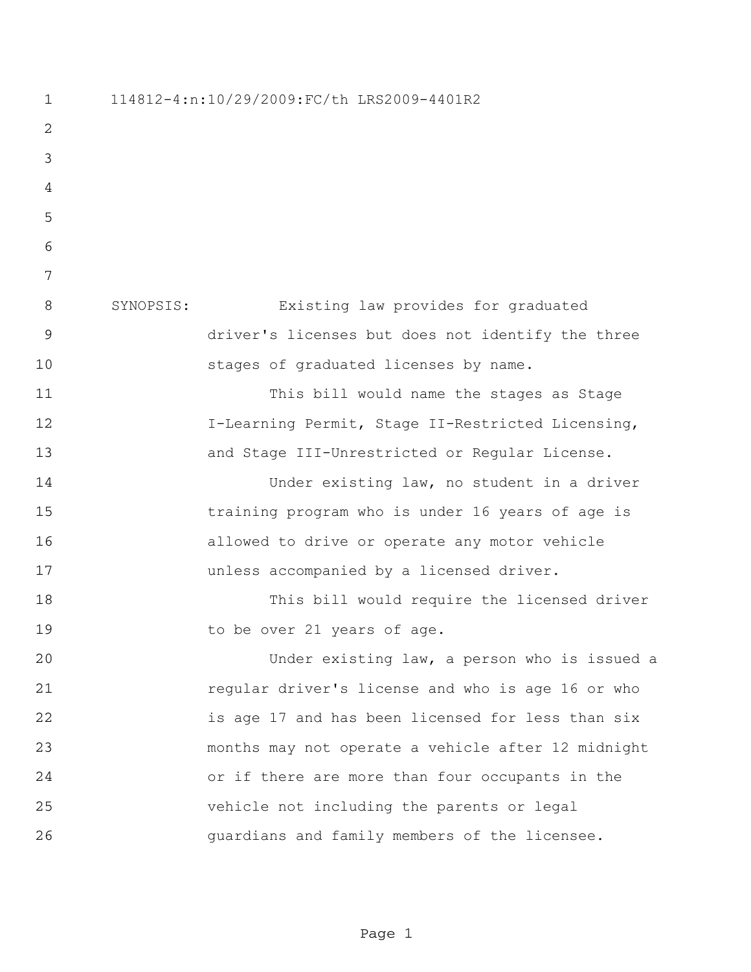114812-4:n:10/29/2009:FC/th LRS2009-4401R2 SYNOPSIS: Existing law provides for graduated driver's licenses but does not identify the three stages of graduated licenses by name. This bill would name the stages as Stage I-Learning Permit, Stage II-Restricted Licensing, and Stage III-Unrestricted or Regular License. Under existing law, no student in a driver training program who is under 16 years of age is allowed to drive or operate any motor vehicle unless accompanied by a licensed driver. This bill would require the licensed driver 19 to be over 21 years of age. Under existing law, a person who is issued a regular driver's license and who is age 16 or who is age 17 and has been licensed for less than six months may not operate a vehicle after 12 midnight or if there are more than four occupants in the vehicle not including the parents or legal guardians and family members of the licensee.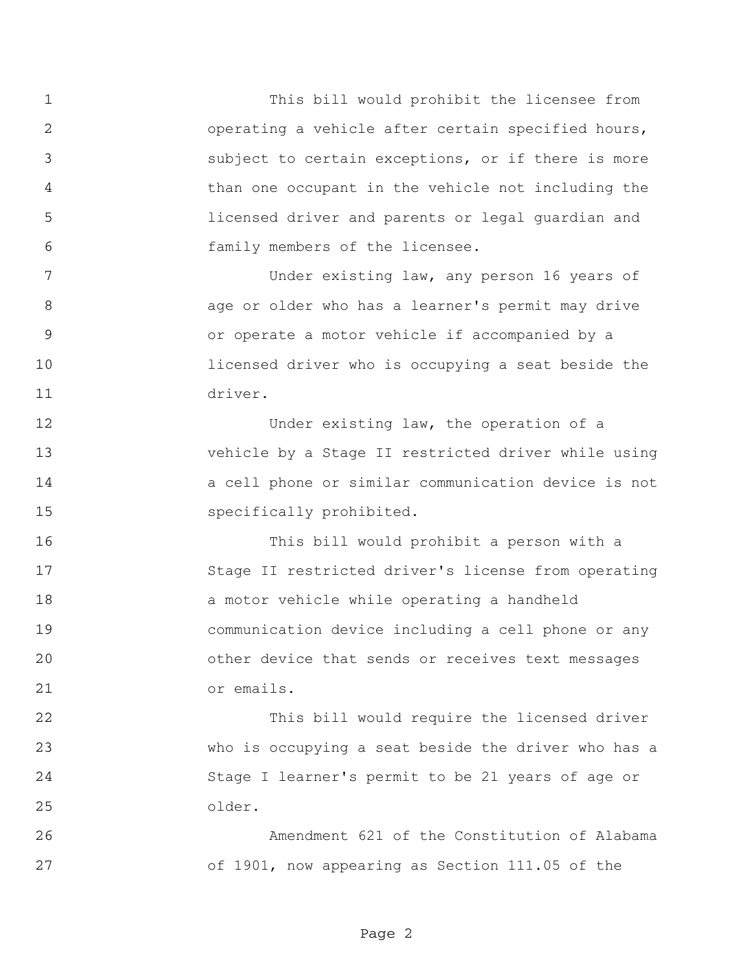This bill would prohibit the licensee from operating a vehicle after certain specified hours, subject to certain exceptions, or if there is more than one occupant in the vehicle not including the licensed driver and parents or legal guardian and family members of the licensee.

 Under existing law, any person 16 years of age or older who has a learner's permit may drive or operate a motor vehicle if accompanied by a licensed driver who is occupying a seat beside the driver.

12 Under existing law, the operation of a vehicle by a Stage II restricted driver while using a cell phone or similar communication device is not specifically prohibited.

 This bill would prohibit a person with a Stage II restricted driver's license from operating a motor vehicle while operating a handheld communication device including a cell phone or any other device that sends or receives text messages or emails.

 This bill would require the licensed driver who is occupying a seat beside the driver who has a Stage I learner's permit to be 21 years of age or older.

 Amendment 621 of the Constitution of Alabama of 1901, now appearing as Section 111.05 of the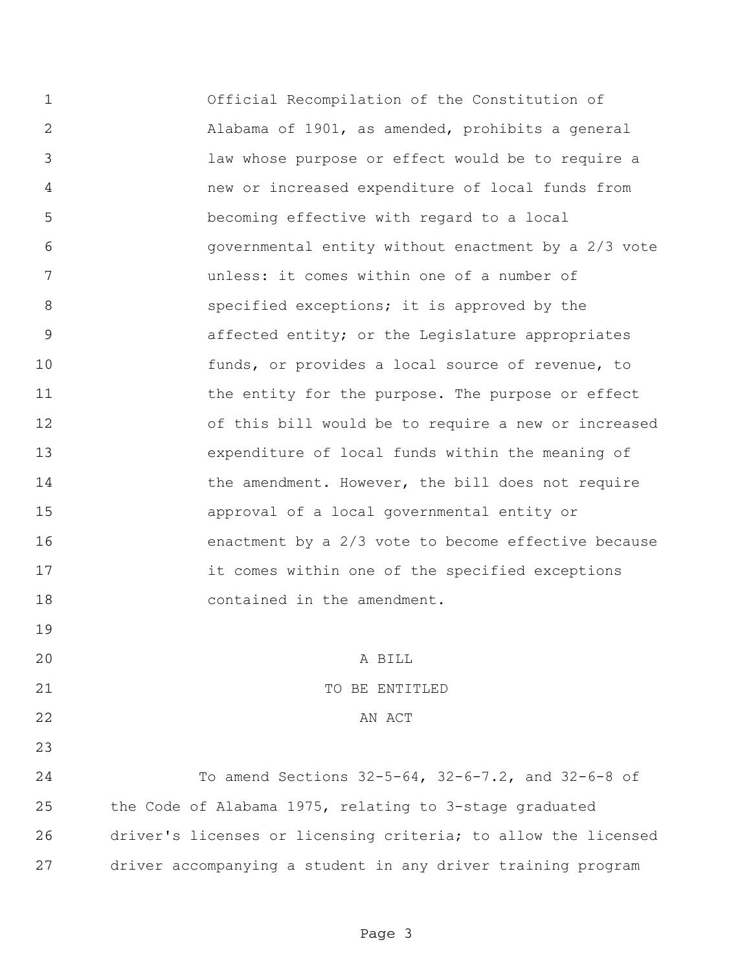Official Recompilation of the Constitution of Alabama of 1901, as amended, prohibits a general law whose purpose or effect would be to require a new or increased expenditure of local funds from becoming effective with regard to a local governmental entity without enactment by a 2/3 vote unless: it comes within one of a number of **8** specified exceptions; it is approved by the affected entity; or the Legislature appropriates funds, or provides a local source of revenue, to 11 the entity for the purpose. The purpose or effect of this bill would be to require a new or increased expenditure of local funds within the meaning of 14 the amendment. However, the bill does not require approval of a local governmental entity or enactment by a 2/3 vote to become effective because it comes within one of the specified exceptions contained in the amendment. A BILL 21 TO BE ENTITLED 22 AN ACT

 To amend Sections 32-5-64, 32-6-7.2, and 32-6-8 of the Code of Alabama 1975, relating to 3-stage graduated driver's licenses or licensing criteria; to allow the licensed driver accompanying a student in any driver training program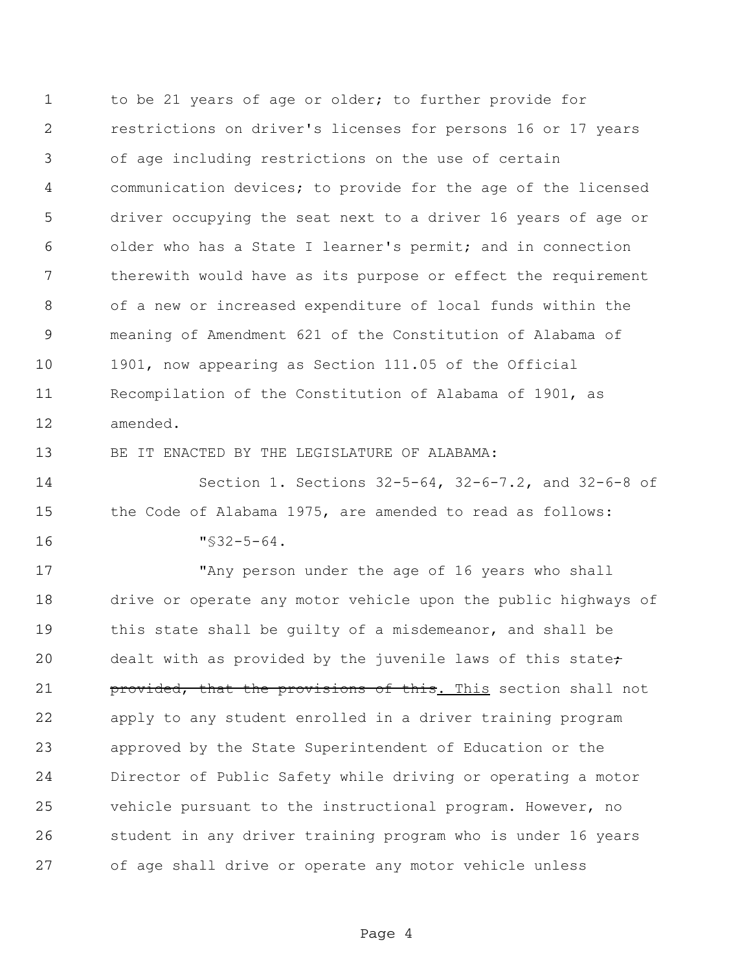to be 21 years of age or older; to further provide for restrictions on driver's licenses for persons 16 or 17 years of age including restrictions on the use of certain communication devices; to provide for the age of the licensed driver occupying the seat next to a driver 16 years of age or older who has a State I learner's permit; and in connection therewith would have as its purpose or effect the requirement of a new or increased expenditure of local funds within the meaning of Amendment 621 of the Constitution of Alabama of 1901, now appearing as Section 111.05 of the Official Recompilation of the Constitution of Alabama of 1901, as amended.

BE IT ENACTED BY THE LEGISLATURE OF ALABAMA:

 Section 1. Sections 32-5-64, 32-6-7.2, and 32-6-8 of the Code of Alabama 1975, are amended to read as follows: "§32-5-64.

 "Any person under the age of 16 years who shall drive or operate any motor vehicle upon the public highways of this state shall be guilty of a misdemeanor, and shall be 20 dealt with as provided by the juvenile laws of this state; **provided, that the provisions of this.** This section shall not apply to any student enrolled in a driver training program approved by the State Superintendent of Education or the Director of Public Safety while driving or operating a motor vehicle pursuant to the instructional program. However, no student in any driver training program who is under 16 years of age shall drive or operate any motor vehicle unless

Page 4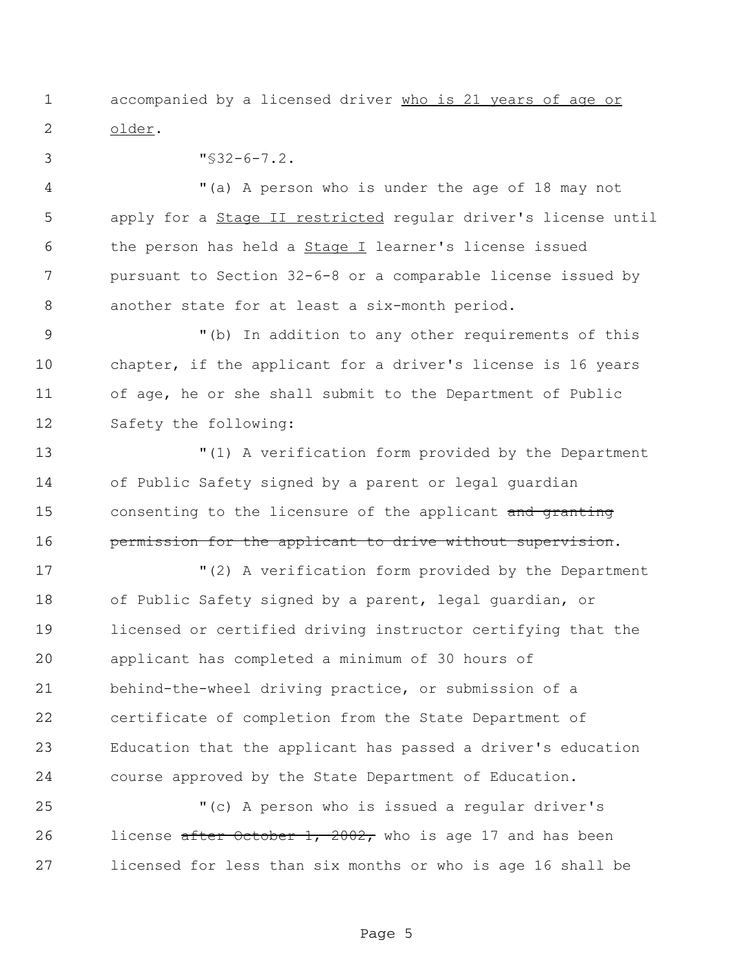accompanied by a licensed driver who is 21 years of age or older.

"§32-6-7.2.

 "(a) A person who is under the age of 18 may not apply for a Stage II restricted regular driver's license until the person has held a Stage I learner's license issued pursuant to Section 32-6-8 or a comparable license issued by another state for at least a six-month period.

9 "(b) In addition to any other requirements of this chapter, if the applicant for a driver's license is 16 years of age, he or she shall submit to the Department of Public Safety the following:

 "(1) A verification form provided by the Department of Public Safety signed by a parent or legal guardian 15 consenting to the licensure of the applicant and granting **permission for the applicant to drive without supervision.** 

 "(2) A verification form provided by the Department of Public Safety signed by a parent, legal guardian, or licensed or certified driving instructor certifying that the applicant has completed a minimum of 30 hours of behind-the-wheel driving practice, or submission of a certificate of completion from the State Department of Education that the applicant has passed a driver's education course approved by the State Department of Education.

 "(c) A person who is issued a regular driver's 26 license after October 1, 2002, who is age 17 and has been licensed for less than six months or who is age 16 shall be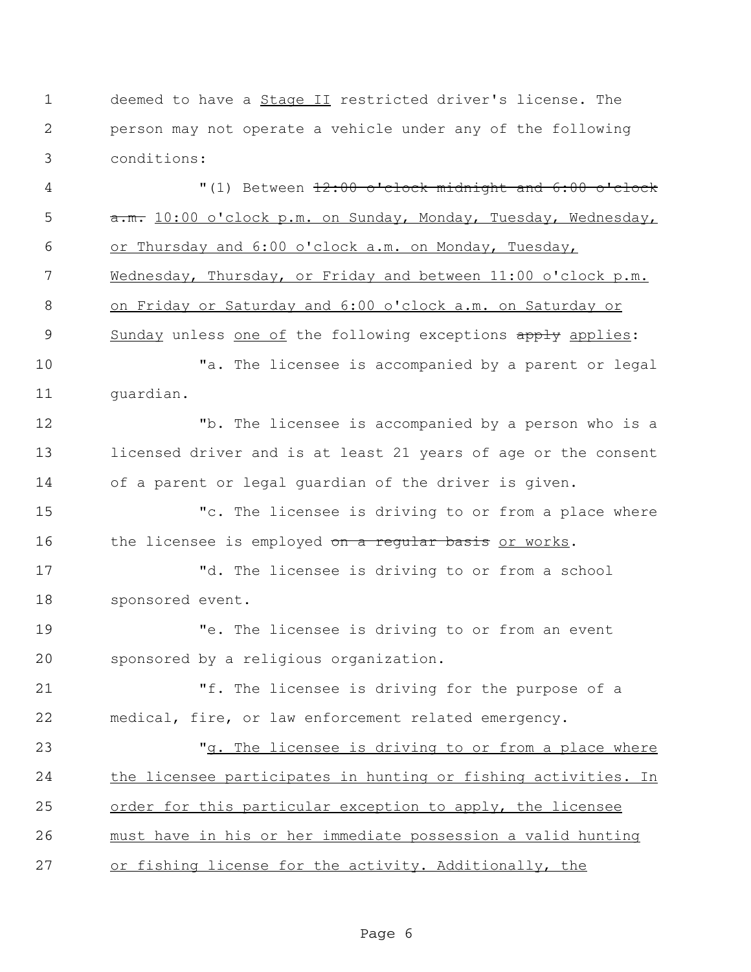deemed to have a Stage II restricted driver's license. The person may not operate a vehicle under any of the following conditions:

 $(1)$  Between <del>12:00 o'clock midnight and 6:00 o'clock</del> 5 a.m. 10:00 o'clock p.m. on Sunday, Monday, Tuesday, Wednesday, or Thursday and 6:00 o'clock a.m. on Monday, Tuesday, Wednesday, Thursday, or Friday and between 11:00 o'clock p.m. on Friday or Saturday and 6:00 o'clock a.m. on Saturday or 9 Sunday unless one of the following exceptions apply applies: "a. The licensee is accompanied by a parent or legal guardian. "b. The licensee is accompanied by a person who is a licensed driver and is at least 21 years of age or the consent of a parent or legal guardian of the driver is given. "c. The licensee is driving to or from a place where 16 the licensee is employed on a requiar basis or works. "d. The licensee is driving to or from a school sponsored event. "e. The licensee is driving to or from an event sponsored by a religious organization. "f. The licensee is driving for the purpose of a medical, fire, or law enforcement related emergency. "g. The licensee is driving to or from a place where the licensee participates in hunting or fishing activities. In order for this particular exception to apply, the licensee must have in his or her immediate possession a valid hunting or fishing license for the activity. Additionally, the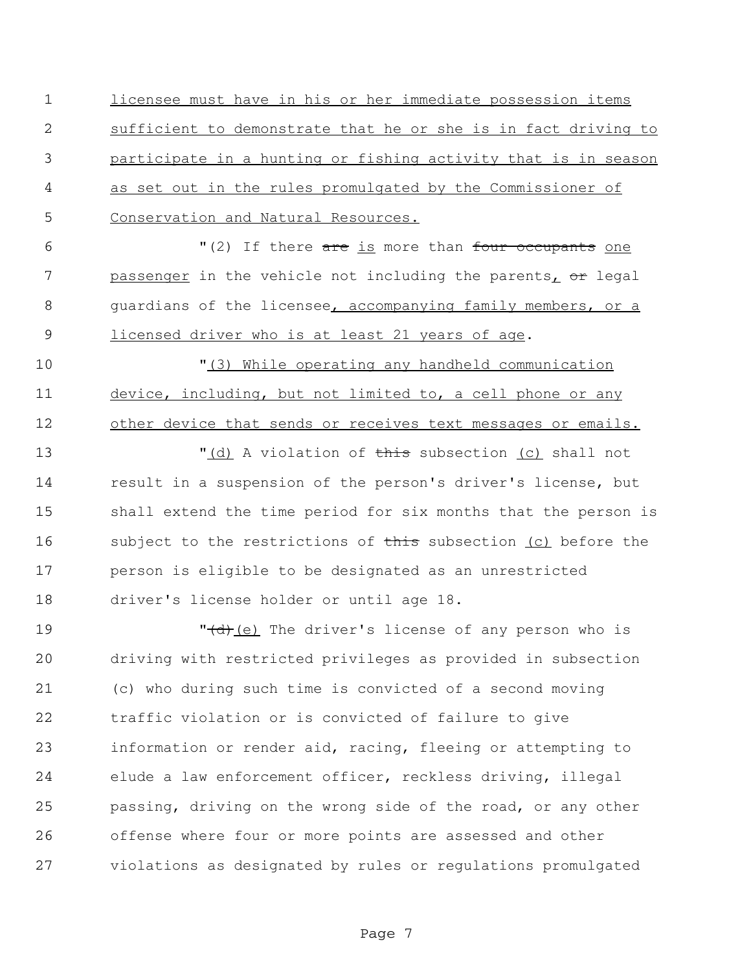licensee must have in his or her immediate possession items sufficient to demonstrate that he or she is in fact driving to participate in a hunting or fishing activity that is in season as set out in the rules promulgated by the Commissioner of Conservation and Natural Resources.

6  $\blacksquare$  (2) If there are is more than four occupants one 7 passenger in the vehicle not including the parents, or legal guardians of the licensee, accompanying family members, or a 9 licensed driver who is at least 21 years of age.

10  $\frac{10}{10}$   $\frac{10}{10}$   $\frac{10}{10}$   $\frac{10}{10}$   $\frac{10}{10}$   $\frac{10}{10}$   $\frac{10}{10}$   $\frac{10}{10}$   $\frac{10}{10}$   $\frac{10}{10}$   $\frac{10}{10}$   $\frac{10}{10}$   $\frac{10}{10}$   $\frac{10}{10}$   $\frac{10}{10}$   $\frac{10}{10}$   $\frac{10}{10}$   $\frac{10}{10}$   $\frac$  device, including, but not limited to, a cell phone or any other device that sends or receives text messages or emails.

 $\blacksquare$  (d) A violation of this subsection (c) shall not result in a suspension of the person's driver's license, but shall extend the time period for six months that the person is 16 subject to the restrictions of this subsection (c) before the person is eligible to be designated as an unrestricted driver's license holder or until age 18.

19 The driver's license of any person who is driving with restricted privileges as provided in subsection (c) who during such time is convicted of a second moving traffic violation or is convicted of failure to give information or render aid, racing, fleeing or attempting to elude a law enforcement officer, reckless driving, illegal passing, driving on the wrong side of the road, or any other offense where four or more points are assessed and other violations as designated by rules or regulations promulgated

Page 7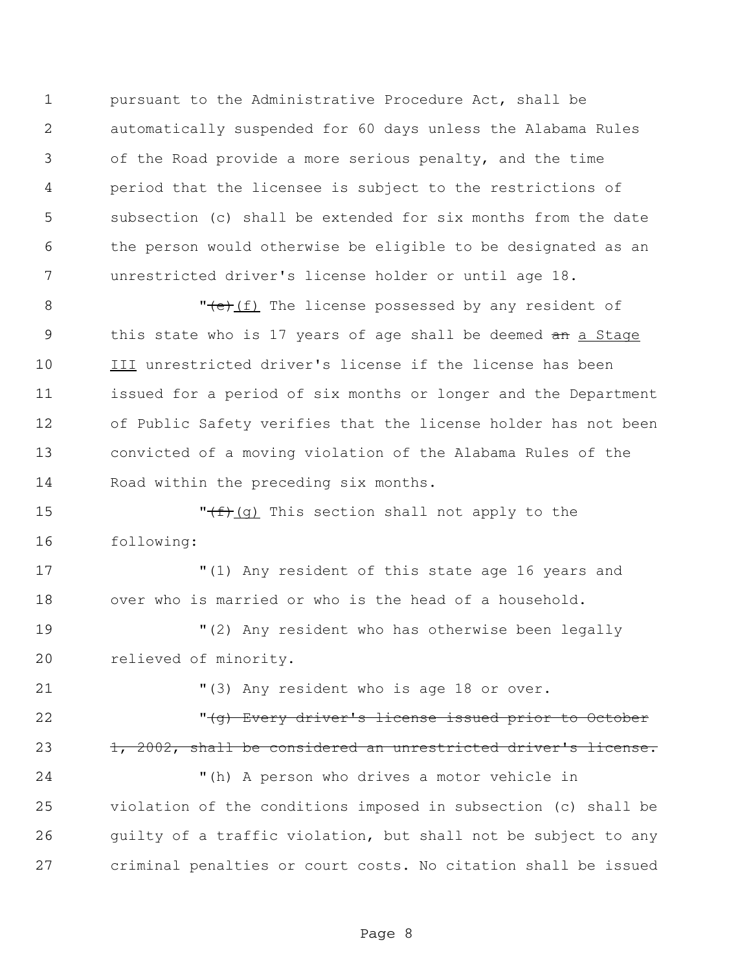pursuant to the Administrative Procedure Act, shall be automatically suspended for 60 days unless the Alabama Rules of the Road provide a more serious penalty, and the time period that the licensee is subject to the restrictions of subsection (c) shall be extended for six months from the date the person would otherwise be eligible to be designated as an unrestricted driver's license holder or until age 18.

8 "  $\frac{(f)}{(f)}$  The license possessed by any resident of 9 this state who is 17 years of age shall be deemed an a Stage III unrestricted driver's license if the license has been issued for a period of six months or longer and the Department of Public Safety verifies that the license holder has not been convicted of a moving violation of the Alabama Rules of the Road within the preceding six months.

15  $\sqrt{f(f)(g)}$  This section shall not apply to the following:

 "(1) Any resident of this state age 16 years and over who is married or who is the head of a household.

 "(2) Any resident who has otherwise been legally relieved of minority.

21 "(3) Any resident who is age 18 or over.

22 The Constant Constant Constant Constant Constant Constant Constant Constant Constant Constant Constant Constant Constant Constant Constant Constant Constant Constant Constant Constant Constant Constant Constant Constant 23 1, 2002, shall be considered an unrestricted driver's license.

 "(h) A person who drives a motor vehicle in violation of the conditions imposed in subsection (c) shall be 26 quilty of a traffic violation, but shall not be subject to any criminal penalties or court costs. No citation shall be issued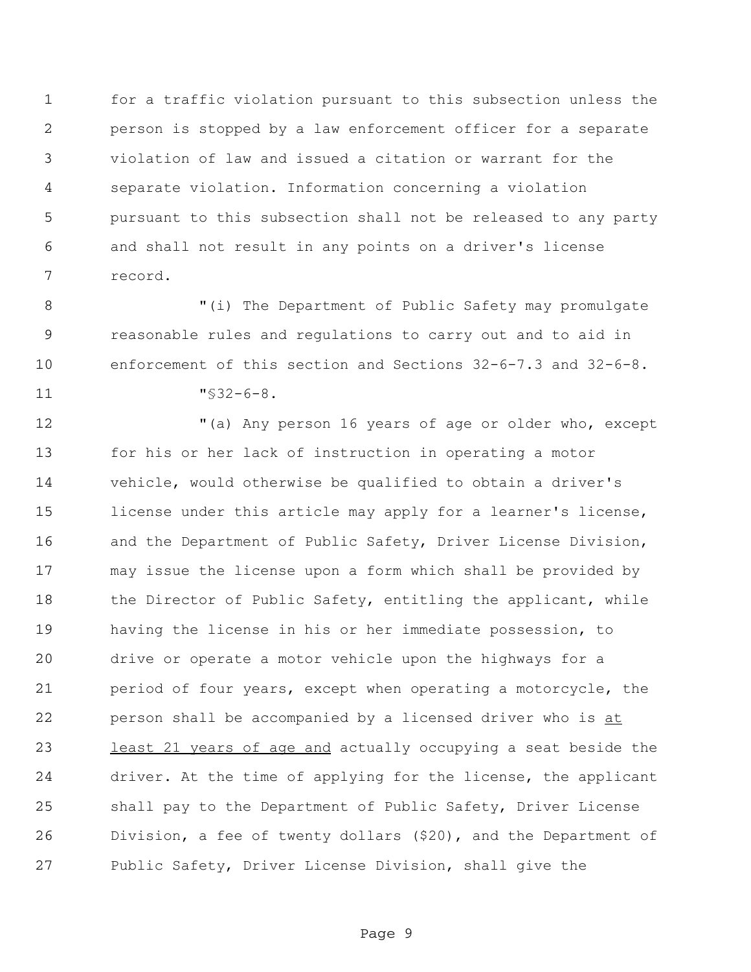for a traffic violation pursuant to this subsection unless the person is stopped by a law enforcement officer for a separate violation of law and issued a citation or warrant for the separate violation. Information concerning a violation pursuant to this subsection shall not be released to any party and shall not result in any points on a driver's license record.

 "(i) The Department of Public Safety may promulgate reasonable rules and regulations to carry out and to aid in enforcement of this section and Sections 32-6-7.3 and 32-6-8.

"§32-6-8.

 "(a) Any person 16 years of age or older who, except for his or her lack of instruction in operating a motor vehicle, would otherwise be qualified to obtain a driver's license under this article may apply for a learner's license, 16 and the Department of Public Safety, Driver License Division, may issue the license upon a form which shall be provided by 18 the Director of Public Safety, entitling the applicant, while having the license in his or her immediate possession, to drive or operate a motor vehicle upon the highways for a period of four years, except when operating a motorcycle, the 22 person shall be accompanied by a licensed driver who is at 23 least 21 years of age and actually occupying a seat beside the driver. At the time of applying for the license, the applicant shall pay to the Department of Public Safety, Driver License Division, a fee of twenty dollars (\$20), and the Department of Public Safety, Driver License Division, shall give the

Page 9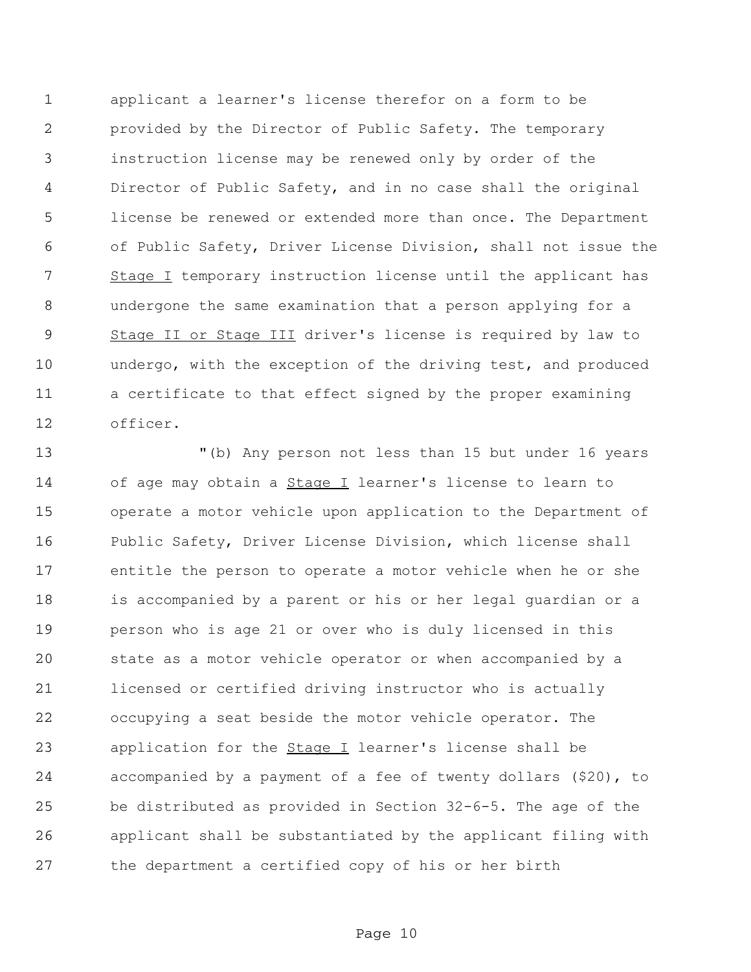applicant a learner's license therefor on a form to be provided by the Director of Public Safety. The temporary instruction license may be renewed only by order of the Director of Public Safety, and in no case shall the original license be renewed or extended more than once. The Department of Public Safety, Driver License Division, shall not issue the 7 Stage I temporary instruction license until the applicant has undergone the same examination that a person applying for a 9 Stage II or Stage III driver's license is required by law to undergo, with the exception of the driving test, and produced a certificate to that effect signed by the proper examining officer.

 "(b) Any person not less than 15 but under 16 years 14 of age may obtain a **Stage I** learner's license to learn to operate a motor vehicle upon application to the Department of Public Safety, Driver License Division, which license shall entitle the person to operate a motor vehicle when he or she is accompanied by a parent or his or her legal guardian or a person who is age 21 or over who is duly licensed in this state as a motor vehicle operator or when accompanied by a licensed or certified driving instructor who is actually occupying a seat beside the motor vehicle operator. The 23 application for the **Stage I** learner's license shall be accompanied by a payment of a fee of twenty dollars (\$20), to be distributed as provided in Section 32-6-5. The age of the applicant shall be substantiated by the applicant filing with the department a certified copy of his or her birth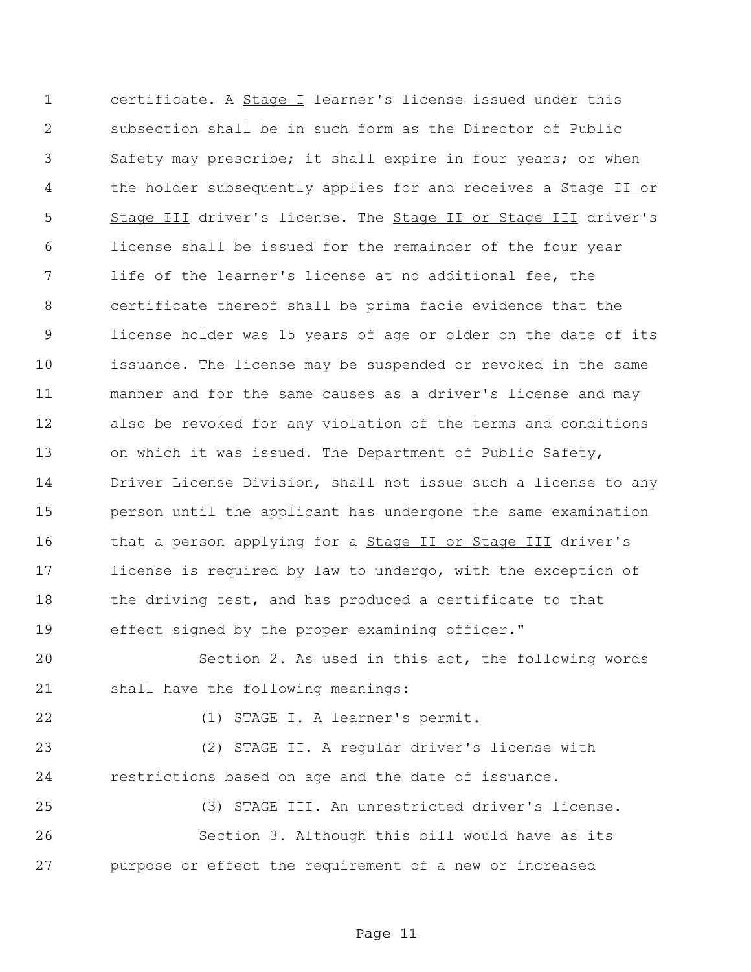certificate. A Stage I learner's license issued under this subsection shall be in such form as the Director of Public Safety may prescribe; it shall expire in four years; or when 4 the holder subsequently applies for and receives a **Stage II or**  Stage III driver's license. The Stage II or Stage III driver's license shall be issued for the remainder of the four year life of the learner's license at no additional fee, the certificate thereof shall be prima facie evidence that the license holder was 15 years of age or older on the date of its issuance. The license may be suspended or revoked in the same manner and for the same causes as a driver's license and may also be revoked for any violation of the terms and conditions on which it was issued. The Department of Public Safety, Driver License Division, shall not issue such a license to any person until the applicant has undergone the same examination 16 that a person applying for a **Stage II or Stage III** driver's license is required by law to undergo, with the exception of 18 the driving test, and has produced a certificate to that effect signed by the proper examining officer."

 Section 2. As used in this act, the following words shall have the following meanings:

(1) STAGE I. A learner's permit.

 (2) STAGE II. A regular driver's license with restrictions based on age and the date of issuance.

 (3) STAGE III. An unrestricted driver's license. Section 3. Although this bill would have as its purpose or effect the requirement of a new or increased